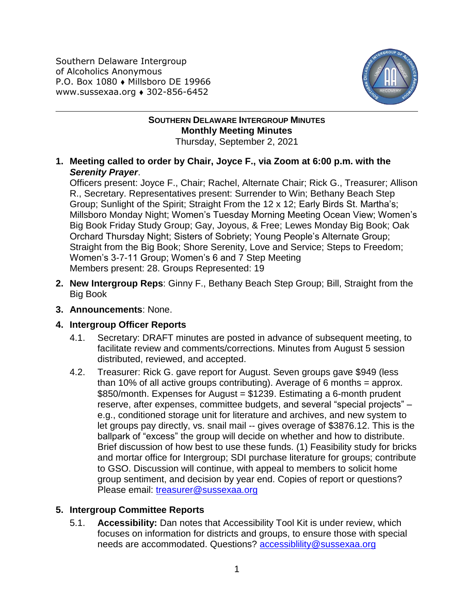Southern Delaware Intergroup of Alcoholics Anonymous P.O. Box 1080 • Millsboro DE 19966 www.sussexaa.org 302-856-6452



## **SOUTHERN DELAWARE INTERGROUP MINUTES Monthly Meeting Minutes** Thursday, September 2, 2021

**1. Meeting called to order by Chair, Joyce F., via Zoom at 6:00 p.m. with the**  *Serenity Prayer*.

Officers present: Joyce F., Chair; Rachel, Alternate Chair; Rick G., Treasurer; Allison R., Secretary. Representatives present: Surrender to Win; Bethany Beach Step Group; Sunlight of the Spirit; Straight From the 12 x 12; Early Birds St. Martha's; Millsboro Monday Night; Women's Tuesday Morning Meeting Ocean View; Women's Big Book Friday Study Group; Gay, Joyous, & Free; Lewes Monday Big Book; Oak Orchard Thursday Night; Sisters of Sobriety; Young People's Alternate Group; Straight from the Big Book; Shore Serenity, Love and Service; Steps to Freedom; Women's 3-7-11 Group; Women's 6 and 7 Step Meeting Members present: 28. Groups Represented: 19

- **2. New Intergroup Reps**: Ginny F., Bethany Beach Step Group; Bill, Straight from the Big Book
- **3. Announcements**: None.

## **4. Intergroup Officer Reports**

- 4.1. Secretary: DRAFT minutes are posted in advance of subsequent meeting, to facilitate review and comments/corrections. Minutes from August 5 session distributed, reviewed, and accepted.
- 4.2. Treasurer: Rick G. gave report for August. Seven groups gave \$949 (less than 10% of all active groups contributing). Average of 6 months = approx. \$850/month. Expenses for August = \$1239. Estimating a 6-month prudent reserve, after expenses, committee budgets, and several "special projects" – e.g., conditioned storage unit for literature and archives, and new system to let groups pay directly, vs. snail mail -- gives overage of \$3876.12. This is the ballpark of "excess" the group will decide on whether and how to distribute. Brief discussion of how best to use these funds. (1) Feasibility study for bricks and mortar office for Intergroup; SDI purchase literature for groups; contribute to GSO. Discussion will continue, with appeal to members to solicit home group sentiment, and decision by year end. Copies of report or questions? Please email: [treasurer@sussexaa.org](mailto:treasurer@sussexaa.org)

## **5. Intergroup Committee Reports**

5.1. **Accessibility:** Dan notes that Accessibility Tool Kit is under review, which focuses on information for districts and groups, to ensure those with special needs are accommodated. Questions? [accessiblility@sussexaa.org](mailto:accessiblility@sussexaa.org)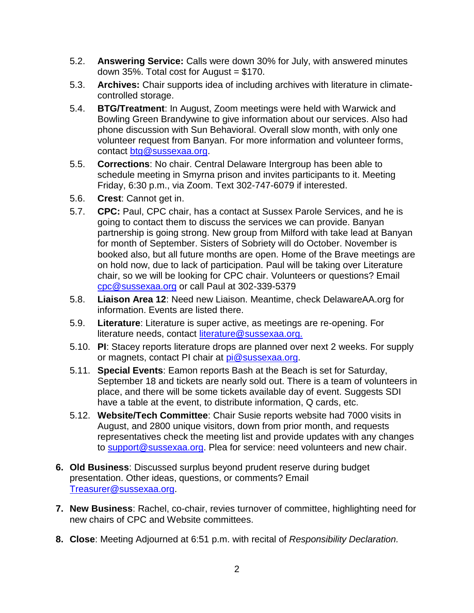- 5.2. **Answering Service:** Calls were down 30% for July, with answered minutes down 35%. Total cost for August  $= $170$ .
- 5.3. **Archives:** Chair supports idea of including archives with literature in climatecontrolled storage.
- 5.4. **BTG/Treatment**: In August, Zoom meetings were held with Warwick and Bowling Green Brandywine to give information about our services. Also had phone discussion with Sun Behavioral. Overall slow month, with only one volunteer request from Banyan. For more information and volunteer forms, contact [btg@sussexaa.org.](mailto:btg@sussexaa.org)
- 5.5. **Corrections**: No chair. Central Delaware Intergroup has been able to schedule meeting in Smyrna prison and invites participants to it. Meeting Friday, 6:30 p.m., via Zoom. Text 302-747-6079 if interested.
- 5.6. **Crest**: Cannot get in.
- 5.7. **CPC:** Paul, CPC chair, has a contact at Sussex Parole Services, and he is going to contact them to discuss the services we can provide. Banyan partnership is going strong. New group from Milford with take lead at Banyan for month of September. Sisters of Sobriety will do October. November is booked also, but all future months are open. Home of the Brave meetings are on hold now, due to lack of participation. Paul will be taking over Literature chair, so we will be looking for CPC chair. Volunteers or questions? Email [cpc@sussexaa.org](mailto:cpc@sussexaa.org) or call Paul at 302-339-5379
- 5.8. **Liaison Area 12**: Need new Liaison. Meantime, check DelawareAA.org for information. Events are listed there.
- 5.9. **Literature**: Literature is super active, as meetings are re-opening. For literature needs, contact [literature@sussexaa.org.](mailto:literature@sussexaa.org.)
- 5.10. **PI**: Stacey reports literature drops are planned over next 2 weeks. For supply or magnets, contact PI chair at [pi@sussexaa.org.](mailto:pi@sussexaa.org)
- 5.11. **Special Events**: Eamon reports Bash at the Beach is set for Saturday, September 18 and tickets are nearly sold out. There is a team of volunteers in place, and there will be some tickets available day of event. Suggests SDI have a table at the event, to distribute information, Q cards, etc.
- 5.12. **Website/Tech Committee**: Chair Susie reports website had 7000 visits in August, and 2800 unique visitors, down from prior month, and requests representatives check the meeting list and provide updates with any changes to [support@sussexaa.org.](mailto:support@sussexaa.org) Plea for service: need volunteers and new chair.
- **6. Old Business**: Discussed surplus beyond prudent reserve during budget presentation. Other ideas, questions, or comments? Email [Treasurer@sussexaa.org.](mailto:Treasurer@sussexaa.org)
- **7. New Business**: Rachel, co-chair, revies turnover of committee, highlighting need for new chairs of CPC and Website committees.
- **8. Close**: Meeting Adjourned at 6:51 p.m. with recital of *Responsibility Declaration.*